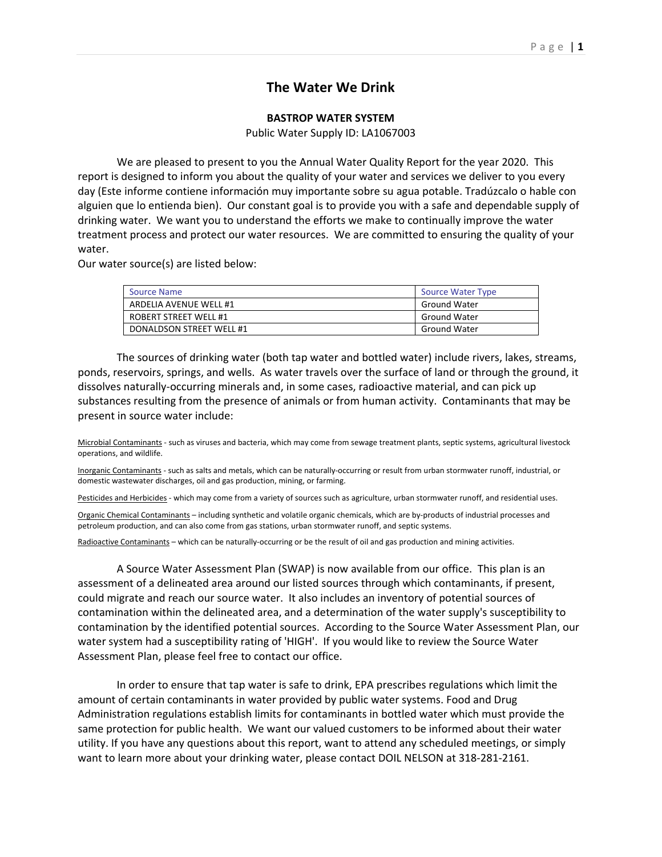## **The Water We Drink**

## **BASTROP WATER SYSTEM**

Public Water Supply ID: LA1067003

 We are pleased to present to you the Annual Water Quality Report for the year 2020. This report is designed to inform you about the quality of your water and services we deliver to you every day (Este informe contiene información muy importante sobre su agua potable. Tradúzcalo o hable con alguien que lo entienda bien). Our constant goal is to provide you with a safe and dependable supply of drinking water. We want you to understand the efforts we make to continually improve the water treatment process and protect our water resources. We are committed to ensuring the quality of your water.

Our water source(s) are listed below:

| <b>Source Name</b>       | <b>Source Water Type</b> |
|--------------------------|--------------------------|
| ARDELIA AVENUE WELL #1   | <b>Ground Water</b>      |
| ROBERT STREET WELL #1    | <b>Ground Water</b>      |
| DONALDSON STREET WELL #1 | <b>Ground Water</b>      |

 The sources of drinking water (both tap water and bottled water) include rivers, lakes, streams, ponds, reservoirs, springs, and wells. As water travels over the surface of land or through the ground, it dissolves naturally‐occurring minerals and, in some cases, radioactive material, and can pick up substances resulting from the presence of animals or from human activity. Contaminants that may be present in source water include:

Microbial Contaminants ‐ such as viruses and bacteria, which may come from sewage treatment plants, septic systems, agricultural livestock operations, and wildlife.

Inorganic Contaminants - such as salts and metals, which can be naturally-occurring or result from urban stormwater runoff, industrial, or domestic wastewater discharges, oil and gas production, mining, or farming.

Pesticides and Herbicides - which may come from a variety of sources such as agriculture, urban stormwater runoff, and residential uses.

Organic Chemical Contaminants – including synthetic and volatile organic chemicals, which are by‐products of industrial processes and petroleum production, and can also come from gas stations, urban stormwater runoff, and septic systems.

Radioactive Contaminants – which can be naturally‐occurring or be the result of oil and gas production and mining activities.

 A Source Water Assessment Plan (SWAP) is now available from our office. This plan is an assessment of a delineated area around our listed sources through which contaminants, if present, could migrate and reach our source water. It also includes an inventory of potential sources of contamination within the delineated area, and a determination of the water supply's susceptibility to contamination by the identified potential sources. According to the Source Water Assessment Plan, our water system had a susceptibility rating of 'HIGH'. If you would like to review the Source Water Assessment Plan, please feel free to contact our office.

 In order to ensure that tap water is safe to drink, EPA prescribes regulations which limit the amount of certain contaminants in water provided by public water systems. Food and Drug Administration regulations establish limits for contaminants in bottled water which must provide the same protection for public health. We want our valued customers to be informed about their water utility. If you have any questions about this report, want to attend any scheduled meetings, or simply want to learn more about your drinking water, please contact DOIL NELSON at 318‐281‐2161.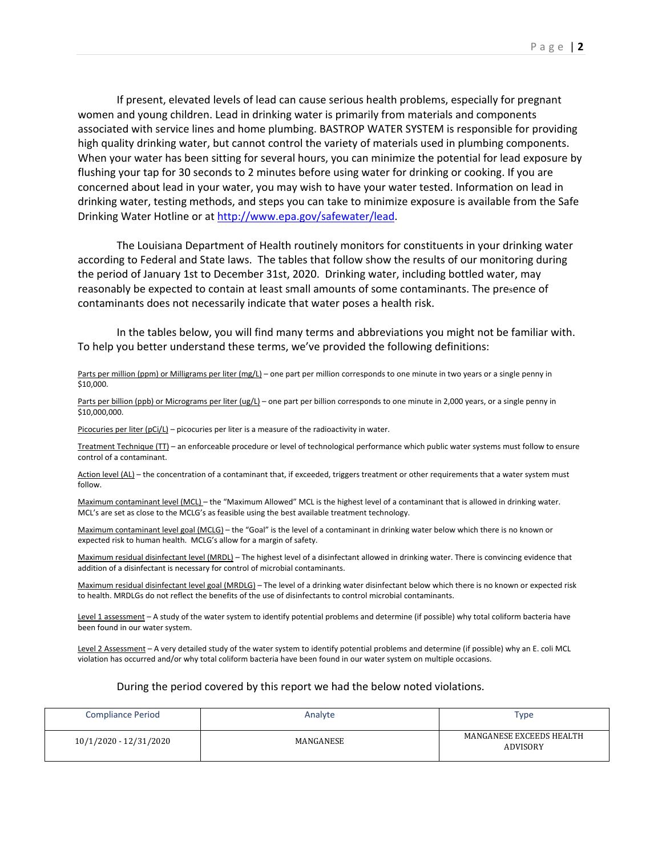If present, elevated levels of lead can cause serious health problems, especially for pregnant women and young children. Lead in drinking water is primarily from materials and components associated with service lines and home plumbing. BASTROP WATER SYSTEM is responsible for providing high quality drinking water, but cannot control the variety of materials used in plumbing components. When your water has been sitting for several hours, you can minimize the potential for lead exposure by flushing your tap for 30 seconds to 2 minutes before using water for drinking or cooking. If you are concerned about lead in your water, you may wish to have your water tested. Information on lead in drinking water, testing methods, and steps you can take to minimize exposure is available from the Safe Drinking Water Hotline or at http://www.epa.gov/safewater/lead.

 The Louisiana Department of Health routinely monitors for constituents in your drinking water according to Federal and State laws. The tables that follow show the results of our monitoring during the period of January 1st to December 31st, 2020. Drinking water, including bottled water, may reasonably be expected to contain at least small amounts of some contaminants. The presence of contaminants does not necessarily indicate that water poses a health risk.

 In the tables below, you will find many terms and abbreviations you might not be familiar with. To help you better understand these terms, we've provided the following definitions:

## Parts per million (ppm) or Milligrams per liter (mg/L) – one part per million corresponds to one minute in two years or a single penny in \$10,000.

Parts per billion (ppb) or Micrograms per liter (ug/L) – one part per billion corresponds to one minute in 2,000 years, or a single penny in \$10,000,000.

Picocuries per liter ( $pCi/L$ ) – picocuries per liter is a measure of the radioactivity in water.

Treatment Technique (TT) – an enforceable procedure or level of technological performance which public water systems must follow to ensure control of a contaminant.

Action level (AL) – the concentration of a contaminant that, if exceeded, triggers treatment or other requirements that a water system must follow.

Maximum contaminant level (MCL) – the "Maximum Allowed" MCL is the highest level of a contaminant that is allowed in drinking water. MCL's are set as close to the MCLG's as feasible using the best available treatment technology.

Maximum contaminant level goal (MCLG) – the "Goal" is the level of a contaminant in drinking water below which there is no known or expected risk to human health. MCLG's allow for a margin of safety.

Maximum residual disinfectant level (MRDL) – The highest level of a disinfectant allowed in drinking water. There is convincing evidence that addition of a disinfectant is necessary for control of microbial contaminants.

Maximum residual disinfectant level goal (MRDLG) – The level of a drinking water disinfectant below which there is no known or expected risk to health. MRDLGs do not reflect the benefits of the use of disinfectants to control microbial contaminants.

Level 1 assessment - A study of the water system to identify potential problems and determine (if possible) why total coliform bacteria have been found in our water system.

Level 2 Assessment - A very detailed study of the water system to identify potential problems and determine (if possible) why an E. coli MCL violation has occurred and/or why total coliform bacteria have been found in our water system on multiple occasions.

## During the period covered by this report we had the below noted violations.

| <b>Compliance Period</b> | Analyte   | Type                                 |
|--------------------------|-----------|--------------------------------------|
| 10/1/2020 - 12/31/2020   | MANGANESE | MANGANESE EXCEEDS HEALTH<br>ADVISORY |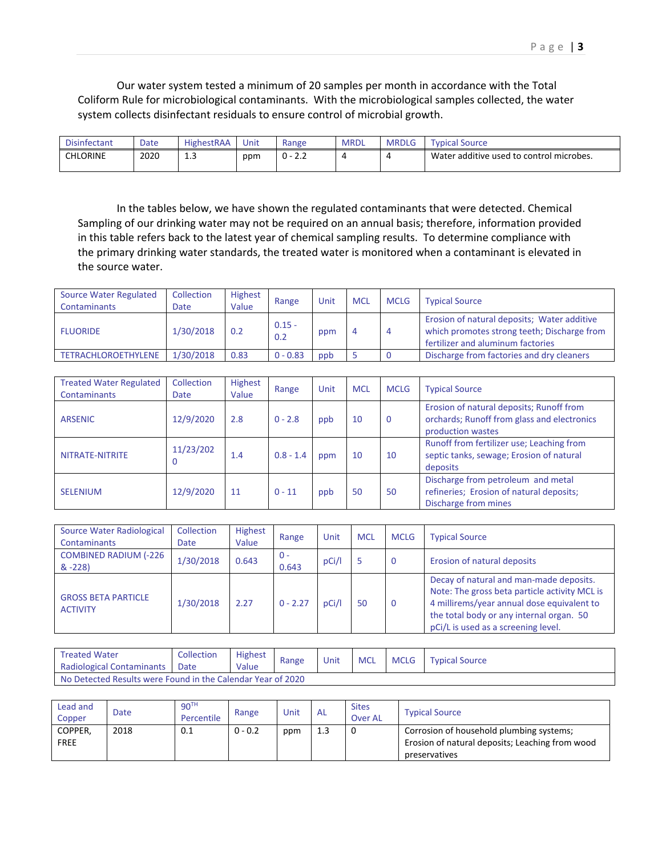Our water system tested a minimum of 20 samples per month in accordance with the Total Coliform Rule for microbiological contaminants. With the microbiological samples collected, the water system collects disinfectant residuals to ensure control of microbial growth.

| <b>Disinfectant</b> | Date | <b>HighestRAA</b> | Unit | Range                                 | <b>MRDL</b> | <b>MRDLG</b> | Source<br><b>vpical</b>                  |
|---------------------|------|-------------------|------|---------------------------------------|-------------|--------------|------------------------------------------|
| <b>CHLORINE</b>     | 2020 | <b></b><br>__     | ppm  | $\sim$ $\sim$<br>$\sim$<br>U -<br>L.L |             |              | Water additive used to control microbes. |

 In the tables below, we have shown the regulated contaminants that were detected. Chemical Sampling of our drinking water may not be required on an annual basis; therefore, information provided in this table refers back to the latest year of chemical sampling results. To determine compliance with the primary drinking water standards, the treated water is monitored when a contaminant is elevated in the source water.

| <b>Source Water Regulated</b><br><b>Contaminants</b> | Collection<br>Date | <b>Highest</b><br>Value | Range           | Unit | <b>MCL</b> | <b>MCLG</b> | <b>Typical Source</b>                                                                                                           |  |
|------------------------------------------------------|--------------------|-------------------------|-----------------|------|------------|-------------|---------------------------------------------------------------------------------------------------------------------------------|--|
| <b>FLUORIDE</b>                                      | 1/30/2018          | 0.2                     | $0.15 -$<br>0.2 | ppm  | 4          | -4          | Erosion of natural deposits; Water additive<br>which promotes strong teeth; Discharge from<br>fertilizer and aluminum factories |  |
| TETRACHLOROETHYLENE                                  | 1/30/2018          | 0.83                    | $0 - 0.83$      | ppb  |            |             | Discharge from factories and dry cleaners                                                                                       |  |

| <b>Treated Water Regulated</b><br><b>Contaminants</b> | Collection<br>Date | <b>Highest</b><br>Value | Range       | Unit | <b>MCL</b> | <b>MCLG</b> | <b>Typical Source</b>                                                                                        |
|-------------------------------------------------------|--------------------|-------------------------|-------------|------|------------|-------------|--------------------------------------------------------------------------------------------------------------|
| <b>ARSENIC</b>                                        | 12/9/2020          | 2.8                     | $0 - 2.8$   | ppb  | 10         | 0           | Erosion of natural deposits; Runoff from<br>orchards; Runoff from glass and electronics<br>production wastes |
| NITRATE-NITRITE                                       | 11/23/202          | 1.4                     | $0.8 - 1.4$ | ppm  | 10         | 10          | Runoff from fertilizer use; Leaching from<br>septic tanks, sewage; Erosion of natural<br>deposits            |
| <b>SELENIUM</b>                                       | 12/9/2020          | 11                      | $0 - 11$    | ppb  | 50         | 50          | Discharge from petroleum and metal<br>refineries; Erosion of natural deposits;<br>Discharge from mines       |

| Source Water Radiological<br><b>Contaminants</b> | Collection<br>Date | <b>Highest</b><br>Value | Range        | Unit  | <b>MCL</b> | <b>MCLG</b> | <b>Typical Source</b>                                                                                                                                                                                                     |  |
|--------------------------------------------------|--------------------|-------------------------|--------------|-------|------------|-------------|---------------------------------------------------------------------------------------------------------------------------------------------------------------------------------------------------------------------------|--|
| <b>COMBINED RADIUM (-226</b><br>$& -228$         | 1/30/2018          | 0.643                   | - 0<br>0.643 | pCi/l |            | O           | Erosion of natural deposits                                                                                                                                                                                               |  |
| <b>GROSS BETA PARTICLE</b><br><b>ACTIVITY</b>    | 1/30/2018          | 2.27                    | $0 - 2.27$   | pCi/l | 50         | 0           | Decay of natural and man-made deposits.<br>Note: The gross beta particle activity MCL is<br>4 millirems/year annual dose equivalent to<br>the total body or any internal organ. 50<br>pCi/L is used as a screening level. |  |

| <b>Treated Water</b>                                        | Collection | <b>Highest</b> | Range | Unit | <b>MCL</b> | <b>MCLG</b> | <b>Typical Source</b> |  |
|-------------------------------------------------------------|------------|----------------|-------|------|------------|-------------|-----------------------|--|
| Radiological Contaminants                                   | Date       | Value          |       |      |            |             |                       |  |
| No Detected Results were Found in the Calendar Year of 2020 |            |                |       |      |            |             |                       |  |

| Lead and<br>Copper     | Date | 90 <sup>TH</sup><br>Percentile | Range     | Unit | <b>AL</b> | <b>Sites</b><br>Over AL | <b>Typical Source</b>                                                                                        |
|------------------------|------|--------------------------------|-----------|------|-----------|-------------------------|--------------------------------------------------------------------------------------------------------------|
| COPPER.<br><b>FREE</b> | 2018 | 0.1                            | $0 - 0.2$ | ppm  | 1.3       |                         | Corrosion of household plumbing systems;<br>Erosion of natural deposits; Leaching from wood<br>preservatives |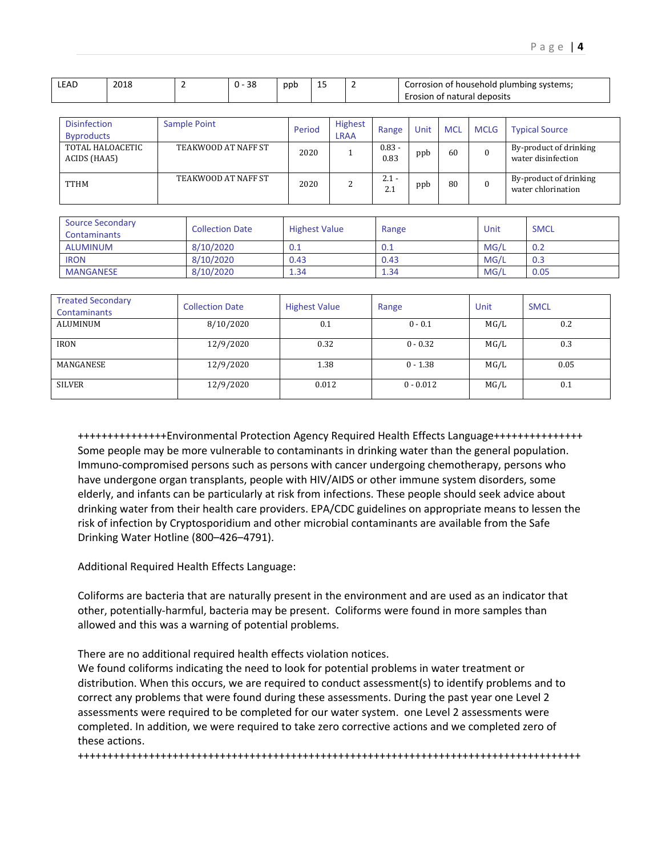| <b>LEAD</b> | 2018 | n c<br>эс<br>. U | ppt | --<br>$\sim$ | i of household plumbing systems;<br>Corrosion |
|-------------|------|------------------|-----|--------------|-----------------------------------------------|
|             |      |                  |     |              | Erosion of natural deposits                   |

| <b>Disinfection</b><br><b>Byproducts</b> | Sample Point        | Period | <b>Highest</b><br><b>LRAA</b> | Range            | Unit | <b>MCL</b> | <b>MCLG</b> | <b>Typical Source</b>                        |
|------------------------------------------|---------------------|--------|-------------------------------|------------------|------|------------|-------------|----------------------------------------------|
| TOTAL HALOACETIC<br>ACIDS (HAA5)         | TEAKWOOD AT NAFF ST | 2020   |                               | $0.83 -$<br>0.83 | ppb  | 60         |             | By-product of drinking<br>water disinfection |
| <b>TTHM</b>                              | TEAKWOOD AT NAFF ST | 2020   |                               | $2.1 -$<br>2.1   | ppb  | 80         |             | By-product of drinking<br>water chlorination |

| Source Secondary<br>Contaminants | <b>Collection Date</b> | <b>Highest Value</b> | Range | Unit | <b>SMCL</b> |
|----------------------------------|------------------------|----------------------|-------|------|-------------|
| ALUMINUM                         | 8/10/2020              | 0.1                  | 0.1   | MG/L | 0.2         |
| <b>IRON</b>                      | 8/10/2020              | 0.43                 | 0.43  | MG/L | 0.3         |
| <b>MANGANESE</b>                 | 8/10/2020              | 1.34                 | 1.34  | MG/L | 0.05        |

| <b>Treated Secondary</b><br>Contaminants | <b>Collection Date</b> | <b>Highest Value</b> | Range       | Unit | <b>SMCL</b> |
|------------------------------------------|------------------------|----------------------|-------------|------|-------------|
| ALUMINUM                                 | 8/10/2020              | 0.1                  | $0 - 0.1$   | MG/L | 0.2         |
| <b>IRON</b>                              | 12/9/2020              | 0.32                 | $0 - 0.32$  | MG/L | 0.3         |
| MANGANESE                                | 12/9/2020              | 1.38                 | $0 - 1.38$  | MG/L | 0.05        |
| <b>SILVER</b>                            | 12/9/2020              | 0.012                | $0 - 0.012$ | MG/L | 0.1         |

+++++++++++++++Environmental Protection Agency Required Health Effects Language+++++++++++++++ Some people may be more vulnerable to contaminants in drinking water than the general population. Immuno‐compromised persons such as persons with cancer undergoing chemotherapy, persons who have undergone organ transplants, people with HIV/AIDS or other immune system disorders, some elderly, and infants can be particularly at risk from infections. These people should seek advice about drinking water from their health care providers. EPA/CDC guidelines on appropriate means to lessen the risk of infection by Cryptosporidium and other microbial contaminants are available from the Safe Drinking Water Hotline (800–426–4791).

Additional Required Health Effects Language:

Coliforms are bacteria that are naturally present in the environment and are used as an indicator that other, potentially‐harmful, bacteria may be present. Coliforms were found in more samples than allowed and this was a warning of potential problems.

There are no additional required health effects violation notices.

We found coliforms indicating the need to look for potential problems in water treatment or distribution. When this occurs, we are required to conduct assessment(s) to identify problems and to correct any problems that were found during these assessments. During the past year one Level 2 assessments were required to be completed for our water system. one Level 2 assessments were completed. In addition, we were required to take zero corrective actions and we completed zero of these actions.

+++++++++++++++++++++++++++++++++++++++++++++++++++++++++++++++++++++++++++++++++++++